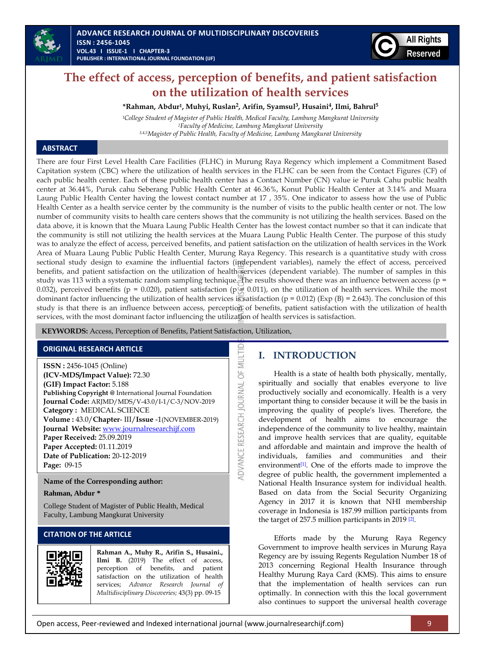



# **The effect of access, perception of benefits, and patient satisfaction on the utilization of health services**

**\*Rahman, Abdur1, Muhyi, Ruslan<sup>2</sup> , Arifin, Syamsul<sup>3</sup> , Husaini<sup>4</sup> , Ilmi, Bahrul<sup>5</sup>**

*<sup>1</sup>College Student of Magister of Public Health, Medical Faculty, Lambung Mangkurat University <sup>2</sup>Faculty of Medicine, Lambung Mangkurat University 3,4,5Magister of Public Health, Faculty of Medicine, Lambung Mangkurat University*

### **ABSTRACT**

There are four First Level Health Care Facilities (FLHC) in Murung Raya Regency which implement a Commitment Based Capitation system (CBC) where the utilization of health services in the FLHC can be seen from the Contact Figures (CF) of each public health center. Each of these public health center has a Contact Number (CN) value ie Puruk Cahu public health center at 36.44%, Puruk cahu Seberang Public Health Center at 46.36%, Konut Public Health Center at 3.14% and Muara Laung Public Health Center having the lowest contact number at 17 , 35%. One indicator to assess how the use of Public Health Center as a health service center by the community is the number of visits to the public health center or not. The low number of community visits to health care centers shows that the community is not utilizing the health services. Based on the data above, it is known that the Muara Laung Public Health Center has the lowest contact number so that it can indicate that the community is still not utilizing the health services at the Muara Laung Public Health Center. The purpose of this study was to analyze the effect of access, perceived benefits, and patient satisfaction on the utilization of health services in the Work Area of Muara Laung Public Public Health Center, Murung Raya Regency. This research is a quantitative study with cross sectional study design to examine the influential factors (independent variables), namely the effect of access, perceived benefits, and patient satisfaction on the utilization of health services (dependent variable). The number of samples in this study was 113 with a systematic random sampling technique. The results showed there was an influence between access ( $p =$ 0.032), perceived benefits (p = 0.020), patient satisfaction (p = 0.011), on the utilization of health services. While the most dominant factor influencing the utilization of health services is satisfaction ( $p = 0.012$ ) (Exp (B) = 2.643). The conclusion of this study is that there is an influence between access, perception of benefits, patient satisfaction with the utilization of health services, with the most dominant factor influencing the utilization of health services is satisfaction.

MULTID

ADVANCE RESEARCH JOURNAL OF

**KEYWORDS:** Access, Perception of Benefits, Patient Satisfaction, Utilization,

### **ORIGINAL RESEARCH ARTICLE**

**ISSN :** 2456-1045 (Online) **(ICV-MDS/Impact Value):** 72.30 **(GIF) Impact Factor:** 5.188 **Publishing Copyright @** International Journal Foundation **Journal Code:** ARJMD/MDS/V-43.0/I-1/C-3/NOV-2019 **Category :** MEDICAL SCIENCE **Volume :** 43.0/**Chapter**- III/**Issue** -1(NOVEMBER-2019) **Journal Website:** [www.journalresearchijf.com](http://www.journalresearchijf.com/) **Paper Received:** 25.09.2019 **Paper Accepted:** 01.11.2019 **Date of Publication:** 20-12-2019 **Page:** 09-15

**Name of the Corresponding author:**

#### **Rahman, Abdur \***

College Student of Magister of Public Health, Medical Faculty, Lambung Mangkurat University

### **CITATION OF THE ARTICLE**



**Rahman A., Muhy R., Arifin S., Husaini., Ilmi B.** (2019) The effect of access, perception of benefits, and patient satisfaction on the utilization of health services; *Advance Research Journal of Multidisciplinary Discoveries;* 43(3) pp. 09-15

# **I. INTRODUCTION**

Health is a state of health both physically, mentally, spiritually and socially that enables everyone to live productively socially and economically. Health is a very important thing to consider because it will be the basis in improving the quality of people's lives. Therefore, the development of health aims to encourage the independence of the community to live healthy, maintain and improve health services that are quality, equitable and affordable and maintain and improve the health of individuals, families and communities and their environment<sup>[\[1\]](#page-6-0)</sup>. One of the efforts made to improve the degree of public health, the government implemented a National Health Insurance system for individual health. Based on data from the Social Security Organizing Agency in 2017 it is known that NHI membership coverage in Indonesia is 187.99 million participants from the target of 257.5 million participants in 2019<sup>[\[2\]](#page-6-1)</sup>.

Efforts made by the Murung Raya Regency Government to improve health services in Murung Raya Regency are by issuing Regents Regulation Number 18 of 2013 concerning Regional Health Insurance through Healthy Murung Raya Card (KMS). This aims to ensure that the implementation of health services can run optimally. In connection with this the local government also continues to support the universal health coverage

Open access, Peer-reviewed and Indexed international journal (www.journalresearchijf.com) 9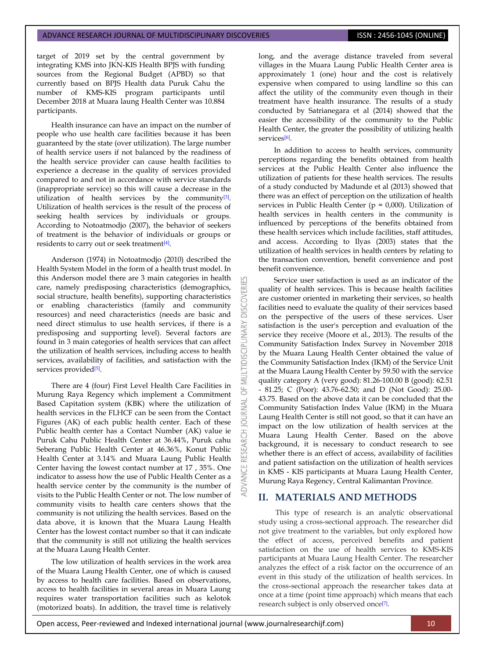target of 2019 set by the central government by integrating KMS into JKN-KIS Health BPJS with funding sources from the Regional Budget (APBD) so that currently based on BPJS Health data Puruk Cahu the number of KMS-KIS program participants until December 2018 at Muara laung Health Center was 10.884 participants.

Health insurance can have an impact on the number of people who use health care facilities because it has been guaranteed by the state (over utilization). The large number of health service users if not balanced by the readiness of the health service provider can cause health facilities to experience a decrease in the quality of services provided compared to and not in accordance with service standards (inappropriate service) so this will cause a decrease in the utilization of health services by the community<sup>[\[3\]](#page-6-2)</sup>. Utilization of health services is the result of the process of seeking health services by individuals or groups. According to Notoatmodjo (2007), the behavior of seekers of treatment is the behavior of individuals or groups or residents to carry out or seek treatment<sup>[\[4\]](#page-6-3)</sup>.

Anderson (1974) in Notoatmodjo (2010) described the Health System Model in the form of a health trust model. In this Anderson model there are 3 main categories in health care, namely predisposing characteristics (demographics, social structure, health benefits), supporting characteristics or enabling characteristics (family and community resources) and need characteristics (needs are basic and need direct stimulus to use health services, if there is a predisposing and supporting level). Several factors are found in 3 main categories of health services that can affect the utilization of health services, including access to health services, availability of facilities, and satisfaction with the services provided<sup>[\[5\]](#page-6-4)</sup>.

K

**DISCOVERI** 

ä **NAL** 

 $\vec{o}$ 

There are 4 (four) First Level Health Care Facilities in Murung Raya Regency which implement a Commitment Based Capitation system (KBK) where the utilization of health services in the FLHCF can be seen from the Contact Figures (AK) of each public health center. Each of these Public health center has a Contact Number (AK) value ie Puruk Cahu Public Health Center at 36.44%, Puruk cahu Seberang Public Health Center at 46.36%, Konut Public Health Center at 3.14% and Muara Laung Public Health Center having the lowest contact number at 17 , 35%. One indicator to assess how the use of Public Health Center as a health service center by the community is the number of visits to the Public Health Center or not. The low number of community visits to health care centers shows that the community is not utilizing the health services. Based on the data above, it is known that the Muara Laung Health Center has the lowest contact number so that it can indicate that the community is still not utilizing the health services at the Muara Laung Health Center.

The low utilization of health services in the work area of the Muara Laung Health Center, one of which is caused by access to health care facilities. Based on observations, access to health facilities in several areas in Muara Laung requires water transportation facilities such as kelotok (motorized boats). In addition, the travel time is relatively

long, and the average distance traveled from several villages in the Muara Laung Public Health Center area is approximately 1 (one) hour and the cost is relatively expensive when compared to using landline so this can affect the utility of the community even though in their treatment have health insurance. The results of a study conducted by Satrianegara et al (2014) showed that the easier the accessibility of the community to the Public Health Center, the greater the possibility of utilizing health services<sup>[\[6\]](#page-6-5)</sup>.

In addition to access to health services, community perceptions regarding the benefits obtained from health services at the Public Health Center also influence the utilization of patients for these health services. The results of a study conducted by Madunde et al (2013) showed that there was an effect of perception on the utilization of health services in Public Health Center ( $p = 0,000$ ). Utilization of health services in health centers in the community is influenced by perceptions of the benefits obtained from these health services which include facilities, staff attitudes, and access. According to Ilyas (2003) states that the utilization of health services in health centers by relating to the transaction convention, benefit convenience and post benefit convenience.

Service user satisfaction is used as an indicator of the quality of health services. This is because health facilities are customer oriented in marketing their services, so health facilities need to evaluate the quality of their services based on the perspective of the users of these services. User satisfaction is the user's perception and evaluation of the service they receive (Moore et al., 2013). The results of the Community Satisfaction Index Survey in November 2018 by the Muara Laung Health Center obtained the value of the Community Satisfaction Index (IKM) of the Service Unit at the Muara Laung Health Center by 59.50 with the service quality category A (very good): 81.26-100.00 B (good): 62.51 - 81.25; C (Poor): 43.76-62.50; and D (Not Good): 25.00- 43.75. Based on the above data it can be concluded that the Community Satisfaction Index Value (IKM) in the Muara Laung Health Center is still not good, so that it can have an impact on the low utilization of health services at the Muara Laung Health Center. Based on the above background, it is necessary to conduct research to see whether there is an effect of access, availability of facilities and patient satisfaction on the utilization of health services in KMS - KIS participants at Muara Laung Health Center, Murung Raya Regency, Central Kalimantan Province.

# **II. MATERIALS AND METHODS**

This type of research is an analytic observational study using a cross-sectional approach. The researcher did not give treatment to the variables, but only explored how the effect of access, perceived benefits and patient satisfaction on the use of health services to KMS-KIS participants at Muara Laung Health Center. The researcher analyzes the effect of a risk factor on the occurrence of an event in this study of the utilization of health services. In the cross-sectional approach the researcher takes data at once at a time (point time approach) which means that each research subject is only observed once<sup>[\[7\]](#page-6-6)</sup>.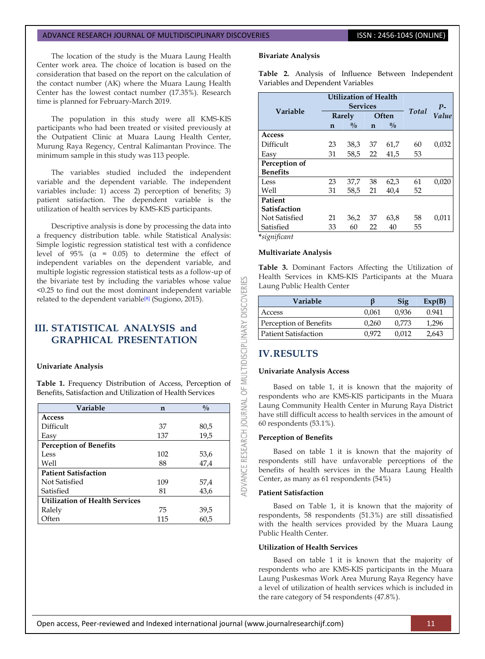The location of the study is the Muara Laung Health Center work area. The choice of location is based on the consideration that based on the report on the calculation of the contact number (AK) where the Muara Laung Health Center has the lowest contact number (17.35%). Research time is planned for February-March 2019.

The population in this study were all KMS-KIS participants who had been treated or visited previously at the Outpatient Clinic at Muara Laung Health Center, Murung Raya Regency, Central Kalimantan Province. The minimum sample in this study was 113 people.

The variables studied included the independent variable and the dependent variable. The independent variables include: 1) access 2) perception of benefits; 3) patient satisfaction. The dependent variable is the utilization of health services by KMS-KIS participants.

Descriptive analysis is done by processing the data into a frequency distribution table. while Statistical Analysis: Simple logistic regression statistical test with a confidence level of  $95\%$  ( $\alpha$  = 0.05) to determine the effect of independent variables on the dependent variable, and multiple logistic regression statistical tests as a follow-up of the bivariate test by including the variables whose value <0.25 to find out the most dominant independent variable related to the dependent variable<sup>[\[8\]](#page-6-7)</sup> (Sugiono, 2015).

# **III. STATISTICAL ANALYSIS and GRAPHICAL PRESENTATION**

#### **Univariate Analysis**

**Table 1.** Frequency Distribution of Access, Perception of Benefits, Satisfaction and Utilization of Health Services

| Variable                              | n   | $\frac{0}{0}$ |  |  |  |  |
|---------------------------------------|-----|---------------|--|--|--|--|
| <b>Access</b>                         |     |               |  |  |  |  |
| Difficult                             | 37  | 80,5          |  |  |  |  |
| Easv                                  | 137 | 19,5          |  |  |  |  |
| <b>Perception of Benefits</b>         |     |               |  |  |  |  |
| Less                                  | 102 | 53,6          |  |  |  |  |
| Well                                  | 88  | 47,4          |  |  |  |  |
| <b>Patient Satisfaction</b>           |     |               |  |  |  |  |
| Not Satisfied                         | 109 | 57,4          |  |  |  |  |
| Satisfied                             | 81  | 43,6          |  |  |  |  |
| <b>Utilization of Health Services</b> |     |               |  |  |  |  |
| Ralely                                | 75  | 39,5          |  |  |  |  |
| Often                                 | 115 | 60,5          |  |  |  |  |

#### **Bivariate Analysis**

**Table 2.** Analysis of Influence Between Independent Variables and Dependent Variables

| Variable        | <b>Utilization of Health</b><br><b>Services</b> |               |              |               | Total | $P-$  |
|-----------------|-------------------------------------------------|---------------|--------------|---------------|-------|-------|
|                 | Rarely                                          |               | <b>Often</b> |               |       | Value |
|                 | $\mathbf n$                                     | $\frac{0}{0}$ | $\mathbf{n}$ | $\frac{0}{0}$ |       |       |
| Access          |                                                 |               |              |               |       |       |
| Difficult       | 23                                              | 38,3          | 37           | 61,7          | 60    | 0,032 |
| Easy            | 31                                              | 58,5          | 22           | 41,5          | 53    |       |
| Perception of   |                                                 |               |              |               |       |       |
| <b>Benefits</b> |                                                 |               |              |               |       |       |
| Less            | 23                                              | 37,7          | 38           | 62,3          | 61    | 0,020 |
| Well            | 31                                              | 58,5          | 21           | 40.4          | 52    |       |
| Patient         |                                                 |               |              |               |       |       |
| Satisfaction    |                                                 |               |              |               |       |       |
| Not Satisfied   | 21                                              | 36,2          | 37           | 63,8          | 58    | 0,011 |
| Satisfied       | 33                                              | 60            | 22           | 40            | 55    |       |

**\****significant*

53

OF MULTIDISCIPLINARY DISCOVERI

DVANCE RESEARCH JOURNAL

#### **Multivariate Analysis**

**Table 3.** Dominant Factors Affecting the Utilization of Health Services in KMS-KIS Participants at the Muara Laung Public Health Center

| Variable                    |       | Sig   | Exp(B) |
|-----------------------------|-------|-------|--------|
| Access                      | 0.061 | 0.936 | 0.941  |
| Perception of Benefits      | 0.260 | 0.773 | 1.296  |
| <b>Patient Satisfaction</b> | 0.972 | በ በ12 | 2.643  |

### **IV.RESULTS**

#### **Univariate Analysis Access**

Based on table 1, it is known that the majority of respondents who are KMS-KIS participants in the Muara Laung Community Health Center in Murung Raya District have still difficult access to health services in the amount of 60 respondents (53.1%).

### **Perception of Benefits**

Based on table 1 it is known that the majority of respondents still have unfavorable perceptions of the benefits of health services in the Muara Laung Health Center, as many as 61 respondents (54%)

#### **Patient Satisfaction**

Based on Table 1, it is known that the majority of respondents, 58 respondents (51.3%) are still dissatisfied with the health services provided by the Muara Laung Public Health Center.

#### **Utilization of Health Services**

Based on table 1 it is known that the majority of respondents who are KMS-KIS participants in the Muara Laung Puskesmas Work Area Murung Raya Regency have a level of utilization of health services which is included in the rare category of 54 respondents (47.8%).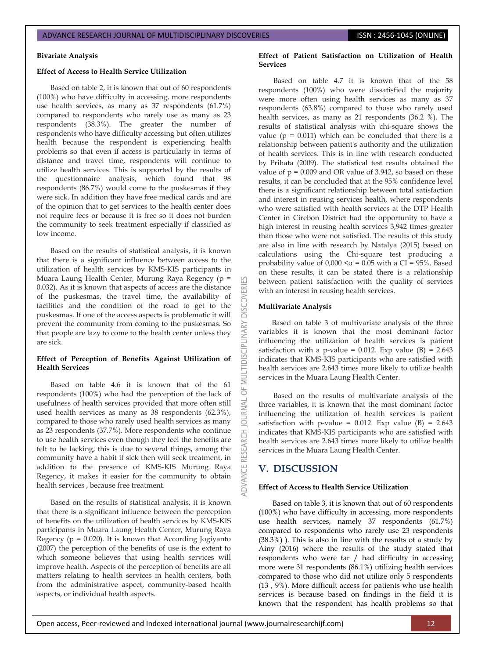#### **Bivariate Analysis**

### **Effect of Access to Health Service Utilization**

Based on table 2, it is known that out of 60 respondents (100%) who have difficulty in accessing, more respondents use health services, as many as 37 respondents (61.7%) compared to respondents who rarely use as many as 23 respondents (38.3%). The greater the number of respondents who have difficulty accessing but often utilizes health because the respondent is experiencing health problems so that even if access is particularly in terms of distance and travel time, respondents will continue to utilize health services. This is supported by the results of the questionnaire analysis, which found that 98 respondents (86.7%) would come to the puskesmas if they were sick. In addition they have free medical cards and are of the opinion that to get services to the health center does not require fees or because it is free so it does not burden the community to seek treatment especially if classified as low income.

Based on the results of statistical analysis, it is known that there is a significant influence between access to the utilization of health services by KMS-KIS participants in Muara Laung Health Center, Murung Raya Regency (p = 0.032). As it is known that aspects of access are the distance of the puskesmas, the travel time, the availability of facilities and the condition of the road to get to the puskesmas. If one of the access aspects is problematic it will prevent the community from coming to the puskesmas. So that people are lazy to come to the health center unless they are sick.

### **Effect of Perception of Benefits Against Utilization of Health Services**

Based on table 4.6 it is known that of the 61 respondents (100%) who had the perception of the lack of usefulness of health services provided that more often still used health services as many as 38 respondents (62.3%), compared to those who rarely used health services as many as 23 respondents (37.7%). More respondents who continue to use health services even though they feel the benefits are felt to be lacking, this is due to several things, among the community have a habit if sick then will seek treatment, in addition to the presence of KMS-KIS Murung Raya Regency, it makes it easier for the community to obtain health services , because free treatment.

Based on the results of statistical analysis, it is known that there is a significant influence between the perception of benefits on the utilization of health services by KMS-KIS participants in Muara Laung Health Center, Murung Raya Regency ( $p = 0.020$ ). It is known that According Jogiyanto (2007) the perception of the benefits of use is the extent to which someone believes that using health services will improve health. Aspects of the perception of benefits are all matters relating to health services in health centers, both from the administrative aspect, community-based health aspects, or individual health aspects.

### **Effect of Patient Satisfaction on Utilization of Health Services**

Based on table 4.7 it is known that of the 58 respondents (100%) who were dissatisfied the majority were more often using health services as many as 37 respondents (63.8%) compared to those who rarely used health services, as many as 21 respondents (36.2 %). The results of statistical analysis with chi-square shows the value ( $p = 0.011$ ) which can be concluded that there is a relationship between patient's authority and the utilization of health services. This is in line with research conducted by Prihata (2009). The statistical test results obtained the value of  $p = 0.009$  and OR value of 3.942, so based on these results, it can be concluded that at the 95% confidence level there is a significant relationship between total satisfaction and interest in reusing services health, where respondents who were satisfied with health services at the DTP Health Center in Cirebon District had the opportunity to have a high interest in reusing health services 3,942 times greater than those who were not satisfied. The results of this study are also in line with research by Natalya (2015) based on calculations using the Chi-square test producing a probability value of  $0,000 < \alpha = 0.05$  with a CI = 95%. Based on these results, it can be stated there is a relationship between patient satisfaction with the quality of services with an interest in reusing health services.

### **Multivariate Analysis**

**DISCOVERI** 

**INARY** 

**IDISCI** 

5 **JRNAL**  $\overline{0}$ 

RESEARCH

**IDVANCE** 

Based on table 3 of multivariate analysis of the three variables it is known that the most dominant factor influencing the utilization of health services is patient satisfaction with a p-value = 0.012. Exp value (B) =  $2.643$ indicates that KMS-KIS participants who are satisfied with health services are 2.643 times more likely to utilize health services in the Muara Laung Health Center.

Based on the results of multivariate analysis of the three variables, it is known that the most dominant factor influencing the utilization of health services is patient satisfaction with p-value = 0.012. Exp value (B) =  $2.643$ indicates that KMS-KIS participants who are satisfied with health services are 2.643 times more likely to utilize health services in the Muara Laung Health Center.

# **V. DISCUSSION**

### **Effect of Access to Health Service Utilization**

Based on table 3, it is known that out of 60 respondents (100%) who have difficulty in accessing, more respondents use health services, namely 37 respondents (61.7%) compared to respondents who rarely use 23 respondents (38.3%) ). This is also in line with the results of a study by Ainy (2016) where the results of the study stated that respondents who were far / had difficulty in accessing more were 31 respondents (86.1%) utilizing health services compared to those who did not utilize only 5 respondents (13 , 9%). More difficult access for patients who use health services is because based on findings in the field it is known that the respondent has health problems so that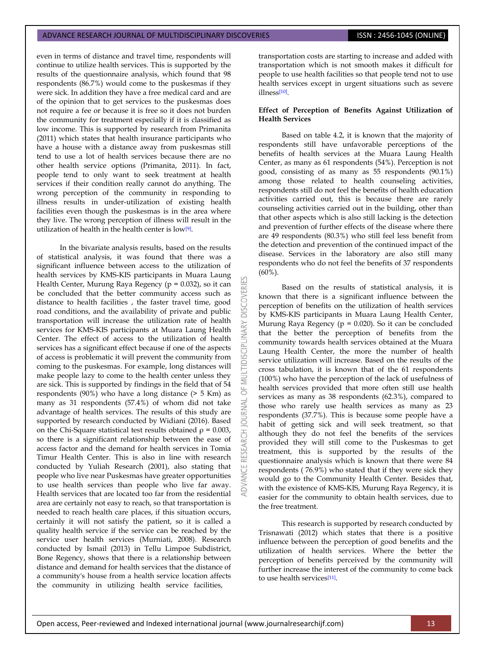even in terms of distance and travel time, respondents will continue to utilize health services. This is supported by the results of the questionnaire analysis, which found that 98 respondents (86.7%) would come to the puskesmas if they were sick. In addition they have a free medical card and are of the opinion that to get services to the puskesmas does not require a fee or because it is free so it does not burden the community for treatment especially if it is classified as low income. This is supported by research from Primanita (2011) which states that health insurance participants who have a house with a distance away from puskesmas still tend to use a lot of health services because there are no other health service options (Primanita, 2011). In fact, people tend to only want to seek treatment at health services if their condition really cannot do anything. The wrong perception of the community in responding to illness results in under-utilization of existing health facilities even though the puskesmas is in the area where they live. The wrong perception of illness will result in the utilization of health in the health center is low[\[9\]](#page-6-8) .

In the bivariate analysis results, based on the results of statistical analysis, it was found that there was a significant influence between access to the utilization of health services by KMS-KIS participants in Muara Laung Health Center, Murung Raya Regency ( $p = 0.032$ ), so it can be concluded that the better community access such as distance to health facilities , the faster travel time, good road conditions, and the availability of private and public transportation will increase the utilization rate of health services for KMS-KIS participants at Muara Laung Health Center. The effect of access to the utilization of health services has a significant effect because if one of the aspects of access is problematic it will prevent the community from coming to the puskesmas. For example, long distances will make people lazy to come to the health center unless they are sick. This is supported by findings in the field that of 54 respondents (90%) who have a long distance (> 5 Km) as many as 31 respondents (57.4%) of whom did not take advantage of health services. The results of this study are supported by research conducted by Widiani (2016). Based on the Chi-Square statistical test results obtained  $\rho = 0.003$ , so there is a significant relationship between the ease of access factor and the demand for health services in Tomia Timur Health Center. This is also in line with research conducted by Yuliah Research (2001), also stating that people who live near Puskesmas have greater opportunities to use health services than people who live far away. Health services that are located too far from the residential area are certainly not easy to reach, so that transportation is needed to reach health care places, if this situation occurs, certainly it will not satisfy the patient, so it is called a quality health service if the service can be reached by the service user health services (Murniati, 2008). Research conducted by Ismail (2013) in Tellu Limpoe Subdistrict, Bone Regency, shows that there is a relationship between distance and demand for health services that the distance of a community's house from a health service location affects the community in utilizing health service facilities,

5F **JRNAL**  $\overline{c}$  transportation costs are starting to increase and added with transportation which is not smooth makes it difficult for people to use health facilities so that people tend not to use health services except in urgent situations such as severe illness[\[10\]](#page-6-9) .

#### **Effect of Perception of Benefits Against Utilization of Health Services**

Based on table 4.2, it is known that the majority of respondents still have unfavorable perceptions of the benefits of health services at the Muara Laung Health Center, as many as 61 respondents (54%). Perception is not good, consisting of as many as 55 respondents (90.1%) among those related to health counseling activities, respondents still do not feel the benefits of health education activities carried out, this is because there are rarely counseling activities carried out in the building, other than that other aspects which is also still lacking is the detection and prevention of further effects of the disease where there are 49 respondents (80.3%) who still feel less benefit from the detection and prevention of the continued impact of the disease. Services in the laboratory are also still many respondents who do not feel the benefits of 37 respondents (60%).

Based on the results of statistical analysis, it is known that there is a significant influence between the perception of benefits on the utilization of health services by KMS-KIS participants in Muara Laung Health Center, Murung Raya Regency ( $p = 0.020$ ). So it can be concluded that the better the perception of benefits from the community towards health services obtained at the Muara Laung Health Center, the more the number of health service utilization will increase. Based on the results of the cross tabulation, it is known that of the 61 respondents (100%) who have the perception of the lack of usefulness of health services provided that more often still use health services as many as 38 respondents (62.3%), compared to those who rarely use health services as many as 23 respondents (37.7%). This is because some people have a habit of getting sick and will seek treatment, so that although they do not feel the benefits of the services provided they will still come to the Puskesmas to get treatment, this is supported by the results of the questionnaire analysis which is known that there were 84 respondents ( 76.9%) who stated that if they were sick they would go to the Community Health Center. Besides that, with the existence of KMS-KIS, Murung Raya Regency, it is easier for the community to obtain health services, due to the free treatment.

This research is supported by research conducted by Trisnawati (2012) which states that there is a positive influence between the perception of good benefits and the utilization of health services. Where the better the perception of benefits perceived by the community will further increase the interest of the community to come back to use health services<sup>[\[11\]](#page-6-10)</sup>.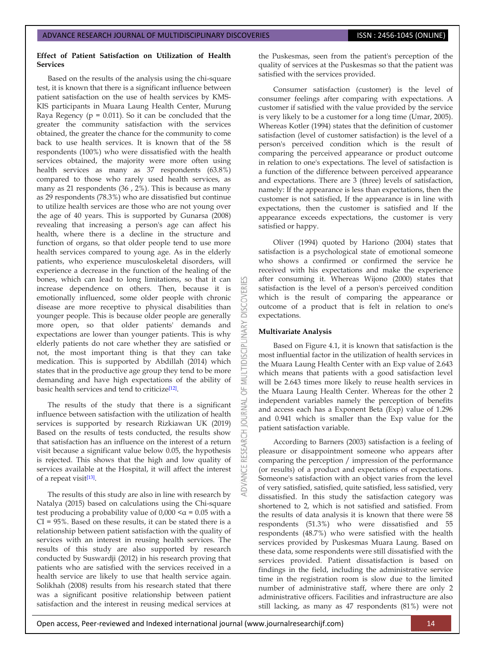### **Effect of Patient Satisfaction on Utilization of Health Services**

Based on the results of the analysis using the chi-square test, it is known that there is a significant influence between patient satisfaction on the use of health services by KMS-KIS participants in Muara Laung Health Center, Murung Raya Regency ( $p = 0.011$ ). So it can be concluded that the greater the community satisfaction with the services obtained, the greater the chance for the community to come back to use health services. It is known that of the 58 respondents (100%) who were dissatisfied with the health services obtained, the majority were more often using health services as many as 37 respondents (63.8%) compared to those who rarely used health services, as many as 21 respondents (36 , 2%). This is because as many as 29 respondents (78.3%) who are dissatisfied but continue to utilize health services are those who are not young over the age of 40 years. This is supported by Gunarsa (2008) revealing that increasing a person's age can affect his health, where there is a decline in the structure and function of organs, so that older people tend to use more health services compared to young age. As in the elderly patients, who experience musculoskeletal disorders, will experience a decrease in the function of the healing of the bones, which can lead to long limitations, so that it can increase dependence on others. Then, because it is emotionally influenced, some older people with chronic disease are more receptive to physical disabilities than younger people. This is because older people are generally more open, so that older patients' demands and expectations are lower than younger patients. This is why elderly patients do not care whether they are satisfied or not, the most important thing is that they can take medication. This is supported by Abdillah (2014) which states that in the productive age group they tend to be more demanding and have high expectations of the ability of basic health services and tend to criticize<sup>[\[12\]](#page-6-11)</sup>.

The results of the study that there is a significant influence between satisfaction with the utilization of health services is supported by research Rizkiawan UK (2019) Based on the results of tests conducted, the results show that satisfaction has an influence on the interest of a return visit because a significant value below 0.05, the hypothesis is rejected. This shows that the high and low quality of services available at the Hospital, it will affect the interest of a repeat visit<sup>[\[13\]](#page-6-12)</sup>.

The results of this study are also in line with research by Natalya (2015) based on calculations using the Chi-square test producing a probability value of  $0,000 < \alpha = 0.05$  with a CI = 95%. Based on these results, it can be stated there is a relationship between patient satisfaction with the quality of services with an interest in reusing health services. The results of this study are also supported by research conducted by Suswardji (2012) in his research proving that patients who are satisfied with the services received in a health service are likely to use that health service again. Solikhah (2008) results from his research stated that there was a significant positive relationship between patient satisfaction and the interest in reusing medical services at the Puskesmas, seen from the patient's perception of the quality of services at the Puskesmas so that the patient was satisfied with the services provided.

Consumer satisfaction (customer) is the level of consumer feelings after comparing with expectations. A customer if satisfied with the value provided by the service is very likely to be a customer for a long time (Umar, 2005). Whereas Kotler (1994) states that the definition of customer satisfaction (level of customer satisfaction) is the level of a person's perceived condition which is the result of comparing the perceived appearance or product outcome in relation to one's expectations. The level of satisfaction is a function of the difference between perceived appearance and expectations. There are 3 (three) levels of satisfaction, namely: If the appearance is less than expectations, then the customer is not satisfied, If the appearance is in line with expectations, then the customer is satisfied and If the appearance exceeds expectations, the customer is very satisfied or happy.

Oliver (1994) quoted by Hariono (2004) states that satisfaction is a psychological state of emotional someone who shows a confirmed or confirmed the service he received with his expectations and make the experience after consuming it. Whereas Wijono (2000) states that satisfaction is the level of a person's perceived condition which is the result of comparing the appearance or outcome of a product that is felt in relation to one's expectations.

#### **Multivariate Analysis**

**DISCOVERI** 

INARY

5 **JRNAL**  $\overline{0}$ 

Based on Figure 4.1, it is known that satisfaction is the most influential factor in the utilization of health services in the Muara Laung Health Center with an Exp value of 2.643 which means that patients with a good satisfaction level will be 2.643 times more likely to reuse health services in the Muara Laung Health Center. Whereas for the other 2 independent variables namely the perception of benefits and access each has a Exponent Beta (Exp) value of 1.296 and 0.941 which is smaller than the Exp value for the patient satisfaction variable.

According to Barners (2003) satisfaction is a feeling of pleasure or disappointment someone who appears after comparing the perception / impression of the performance (or results) of a product and expectations of expectations. Someone's satisfaction with an object varies from the level of very satisfied, satisfied, quite satisfied, less satisfied, very dissatisfied. In this study the satisfaction category was shortened to 2, which is not satisfied and satisfied. From the results of data analysis it is known that there were 58 respondents (51.3%) who were dissatisfied and 55 respondents (48.7%) who were satisfied with the health services provided by Puskesmas Muara Laung. Based on these data, some respondents were still dissatisfied with the services provided. Patient dissatisfaction is based on findings in the field, including the administrative service time in the registration room is slow due to the limited number of administrative staff, where there are only 2 administrative officers. Facilities and infrastructure are also still lacking, as many as 47 respondents (81%) were not